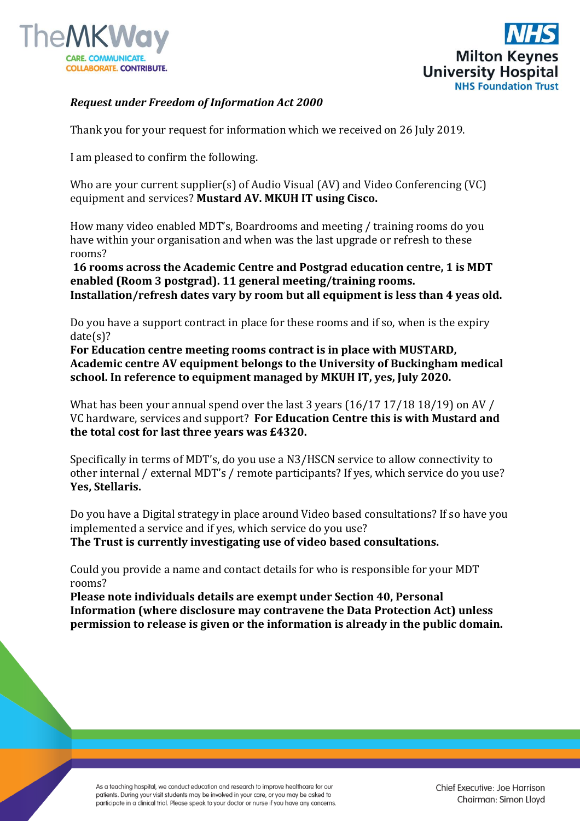



## *Request under Freedom of Information Act 2000*

Thank you for your request for information which we received on 26 July 2019.

I am pleased to confirm the following.

Who are your current supplier(s) of Audio Visual (AV) and Video Conferencing (VC) equipment and services? **Mustard AV. MKUH IT using Cisco.**

How many video enabled MDT's, Boardrooms and meeting / training rooms do you have within your organisation and when was the last upgrade or refresh to these rooms?

**16 rooms across the Academic Centre and Postgrad education centre, 1 is MDT enabled (Room 3 postgrad). 11 general meeting/training rooms. Installation/refresh dates vary by room but all equipment is less than 4 yeas old.**

Do you have a support contract in place for these rooms and if so, when is the expiry date(s)?

**For Education centre meeting rooms contract is in place with MUSTARD, Academic centre AV equipment belongs to the University of Buckingham medical school. In reference to equipment managed by MKUH IT, yes, July 2020.**

What has been your annual spend over the last 3 years (16/17 17/18 18/19) on AV / VC hardware, services and support? **For Education Centre this is with Mustard and the total cost for last three years was £4320.** 

Specifically in terms of MDT's, do you use a N3/HSCN service to allow connectivity to other internal / external MDT's / remote participants? If yes, which service do you use? **Yes, Stellaris.**

Do you have a Digital strategy in place around Video based consultations? If so have you implemented a service and if yes, which service do you use?

**The Trust is currently investigating use of video based consultations.** 

Could you provide a name and contact details for who is responsible for your MDT rooms?

**Please note individuals details are exempt under Section 40, Personal Information (where disclosure may contravene the Data Protection Act) unless permission to release is given or the information is already in the public domain.**

As a teaching hospital, we conduct education and research to improve healthcare for our patients. During your visit students may be involved in your care, or you may be asked to participate in a clinical trial. Please speak to your doctor or nurse if you have any concerns.